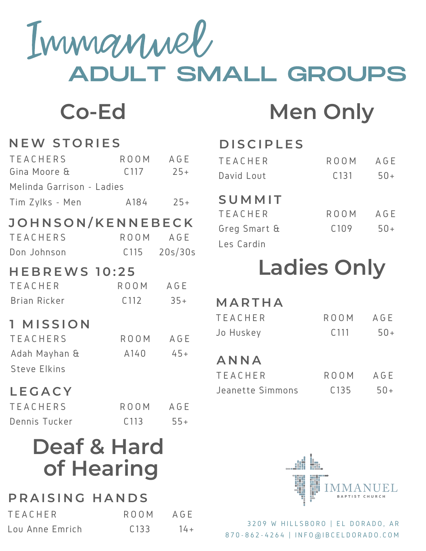Immanuel ADULT SMALL GROUPS

## **Co-Ed Men Only**

### **N EW S T O R I E S**

| <b>TEACHERS</b>           | ROOM AGE     |                  |
|---------------------------|--------------|------------------|
| Gina Moore &              |              | $C117$ 25+       |
| Melinda Garrison - Ladies |              |                  |
| Tim Zylks - Men           |              | $A184$ 25+       |
| JOHNSON/KENNEBECK         |              |                  |
| <b>TEACHERS</b>           |              | ROOM AGE         |
| Don Johnson               |              | $C115$ $20s/30s$ |
| <b>HEBREWS 10:25</b>      |              |                  |
| <b>TEACHER</b>            | ROOM AGE     |                  |
| <b>Brian Ricker</b>       | $C112$ $35+$ |                  |
| 1 MISSION                 |              |                  |
| <b>TEACHERS</b>           | ROOM AGE     |                  |
| Adah Mayhan &             | $A140 45+$   |                  |
| <b>Steve Elkins</b>       |              |                  |
| LEGACY                    |              |                  |

| <b>TEACHERS</b> | ROOM             | AGE   |
|-----------------|------------------|-------|
| Dennis Tucker   | C <sub>113</sub> | $55+$ |

### **Deaf & Hard of Hearing**

#### **P R A I S I N G H A N D S**

| <b>TEACHER</b>  | ROOM.            | AGE    |
|-----------------|------------------|--------|
| Lou Anne Emrich | C <sub>133</sub> | $14 +$ |

### **D I S C I P L E S**

| <b>TEACHER</b> | ROOM             | AGE   |
|----------------|------------------|-------|
| David Lout     | C <sub>131</sub> | $50+$ |

#### **S U M M I T**

| TEACHER      | ROOM             | AGE   |
|--------------|------------------|-------|
| Greg Smart & | C <sub>109</sub> | $50+$ |
| Les Cardin   |                  |       |

### **Ladies Only**

### **M A R T H A**

| TEACHER   | <b>ROOM</b>      | AGE   |
|-----------|------------------|-------|
| Jo Huskey | C <sub>111</sub> | $50+$ |

### **A N N A**

| TEACHER          | ROOM AGE         |       |
|------------------|------------------|-------|
| Jeanette Simmons | C <sub>135</sub> | $50+$ |



3209 W HILLSBORO | EL DORADO, AR 8 7 0 - 8 6 2 - 4 2 6 4 | I N F O @ I B C E L D O R A D O . C O M